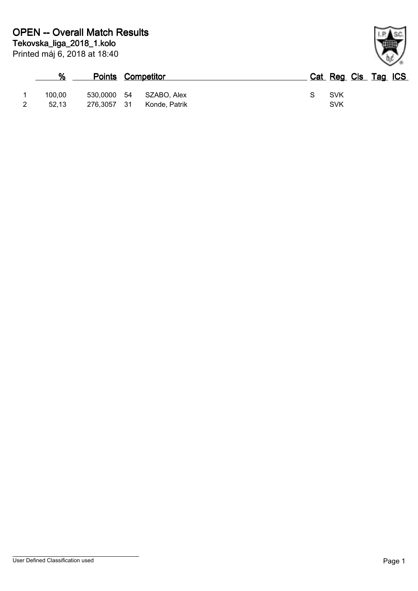| %      |             | <b>Points Competitor</b> | Cat Reg Cls Tag ICS |  |  |
|--------|-------------|--------------------------|---------------------|--|--|
| 100.00 | 530.0000    | 54 SZABO, Alex           | <b>SVK</b>          |  |  |
| 52.13  | 276,3057 31 | Konde, Patrik            | <b>SVK</b>          |  |  |

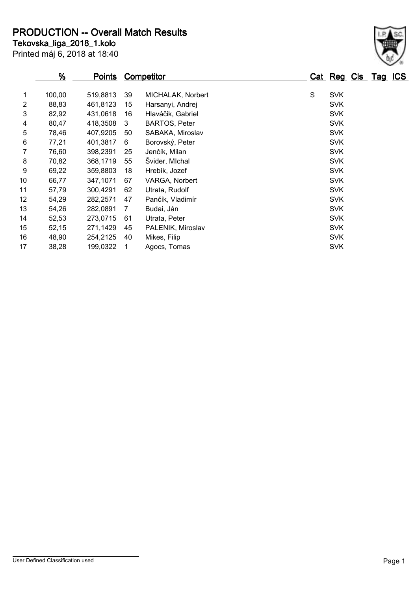**PRODUCTION -- Overall Match Results**

Printed máj 6, 2018 at 18:40 **Tekovska\_liga\_2018\_1.kolo**

|    | $\frac{9}{6}$ | <b>Points</b> |    | <b>Competitor</b>    |   | Cat Reg Cls Tag ICS |  |  |
|----|---------------|---------------|----|----------------------|---|---------------------|--|--|
| 1  | 100,00        | 519,8813      | 39 | MICHALAK, Norbert    | S | <b>SVK</b>          |  |  |
| 2  | 88,83         | 461,8123      | 15 | Harsanyi, Andrej     |   | <b>SVK</b>          |  |  |
| 3  | 82,92         | 431,0618      | 16 | Hlaváčik, Gabriel    |   | <b>SVK</b>          |  |  |
| 4  | 80,47         | 418,3508      | 3  | <b>BARTOS, Peter</b> |   | <b>SVK</b>          |  |  |
| 5  | 78,46         | 407,9205      | 50 | SABAKA, Miroslav     |   | <b>SVK</b>          |  |  |
| 6  | 77,21         | 401,3817      | 6  | Borovský, Peter      |   | <b>SVK</b>          |  |  |
| 7  | 76,60         | 398,2391      | 25 | Jenčík, Milan        |   | <b>SVK</b>          |  |  |
| 8  | 70,82         | 368,1719      | 55 | Švider, Michal       |   | <b>SVK</b>          |  |  |
| 9  | 69,22         | 359,8803      | 18 | Hrebík, Jozef        |   | <b>SVK</b>          |  |  |
| 10 | 66,77         | 347,1071      | 67 | VARGA, Norbert       |   | <b>SVK</b>          |  |  |
| 11 | 57,79         | 300,4291      | 62 | Utrata, Rudolf       |   | <b>SVK</b>          |  |  |
| 12 | 54,29         | 282,2571      | 47 | Pančík, Vladimír     |   | <b>SVK</b>          |  |  |
| 13 | 54,26         | 282,0891      | 7  | Budai, Ján           |   | <b>SVK</b>          |  |  |
| 14 | 52,53         | 273,0715      | 61 | Utrata, Peter        |   | <b>SVK</b>          |  |  |
| 15 | 52,15         | 271,1429      | 45 | PALENIK, Miroslav    |   | <b>SVK</b>          |  |  |
| 16 | 48,90         | 254,2125      | 40 | Mikes, Filip         |   | <b>SVK</b>          |  |  |
| 17 | 38,28         | 199,0322      |    | Agocs, Tomas         |   | <b>SVK</b>          |  |  |
|    |               |               |    |                      |   |                     |  |  |

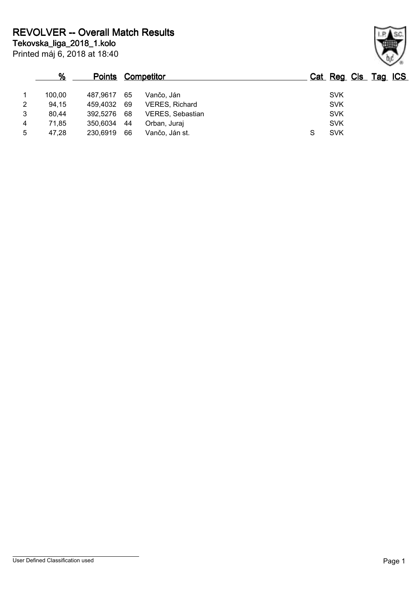|   | %      |          |    | <b>Points Competitor</b> |   | Cat Reg Cls Tag ICS |  |
|---|--------|----------|----|--------------------------|---|---------------------|--|
|   | 100,00 | 487.9617 | 65 | Vančo. Ján               |   | <b>SVK</b>          |  |
| 2 | 94,15  | 459.4032 | 69 | <b>VERES, Richard</b>    |   | <b>SVK</b>          |  |
| 3 | 80,44  | 392.5276 | 68 | VERES, Sebastian         |   | <b>SVK</b>          |  |
| 4 | 71.85  | 350.6034 | 44 | Orban, Juraj             |   | <b>SVK</b>          |  |
| 5 | 47.28  | 230,6919 | 66 | Vančo, Ján st.           | S | <b>SVK</b>          |  |

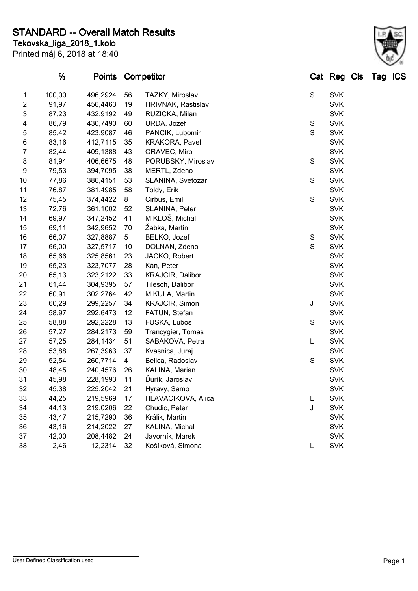**Tekovska\_liga\_2018\_1.kolo STANDARD -- Overall Match Results**

Printed máj 6, 2018 at 18:40

|                           | %      | <u>Points</u> |    | <b>Competitor</b>       |               | Cat Reg Cls Tag ICS |  |  |
|---------------------------|--------|---------------|----|-------------------------|---------------|---------------------|--|--|
| 1                         | 100,00 | 496,2924      | 56 | TAZKY, Miroslav         | ${\mathsf S}$ | <b>SVK</b>          |  |  |
| $\overline{\mathbf{c}}$   | 91,97  | 456,4463      | 19 | HRIVNAK, Rastislav      |               | <b>SVK</b>          |  |  |
| $\ensuremath{\mathsf{3}}$ | 87,23  | 432,9192      | 49 | RUZICKA, Milan          |               | <b>SVK</b>          |  |  |
| 4                         | 86,79  | 430,7490      | 60 | URDA, Jozef             | S             | <b>SVK</b>          |  |  |
| 5                         | 85,42  | 423,9087      | 46 | PANCIK, Lubomir         | $\mathsf S$   | <b>SVK</b>          |  |  |
| 6                         | 83,16  | 412,7115      | 35 | KRAKORA, Pavel          |               | <b>SVK</b>          |  |  |
| $\overline{7}$            | 82,44  | 409,1388      | 43 | ORAVEC, Miro            |               | <b>SVK</b>          |  |  |
| $\bf 8$                   | 81,94  | 406,6675      | 48 | PORUBSKY, Miroslav      | ${\mathsf S}$ | <b>SVK</b>          |  |  |
| 9                         | 79,53  | 394,7095      | 38 | MERTL, Zdeno            |               | <b>SVK</b>          |  |  |
| 10                        | 77,86  | 386,4151      | 53 | SLANINA, Svetozar       | S             | <b>SVK</b>          |  |  |
| 11                        | 76,87  | 381,4985      | 58 | Toldy, Erik             |               | <b>SVK</b>          |  |  |
| 12                        | 75,45  | 374,4422      | 8  | Cirbus, Emil            | S             | <b>SVK</b>          |  |  |
| 13                        | 72,76  | 361,1002      | 52 | SLANINA, Peter          |               | <b>SVK</b>          |  |  |
| 14                        | 69,97  | 347,2452      | 41 | MIKLOŠ, Michal          |               | <b>SVK</b>          |  |  |
| 15                        | 69,11  | 342,9652      | 70 | Žabka, Martin           |               | <b>SVK</b>          |  |  |
| 16                        | 66,07  | 327,8887      | 5  | BELKO, Jozef            | S             | <b>SVK</b>          |  |  |
| 17                        | 66,00  | 327,5717      | 10 | DOLNAN, Zdeno           | $\mathsf S$   | <b>SVK</b>          |  |  |
| 18                        | 65,66  | 325,8561      | 23 | JACKO, Robert           |               | <b>SVK</b>          |  |  |
| 19                        | 65,23  | 323,7077      | 28 | Kán, Peter              |               | <b>SVK</b>          |  |  |
| 20                        | 65,13  | 323,2122      | 33 | <b>KRAJCIR, Dalibor</b> |               | <b>SVK</b>          |  |  |
| 21                        | 61,44  | 304,9395      | 57 | Tilesch, Dalibor        |               | <b>SVK</b>          |  |  |
| 22                        | 60,91  | 302,2764      | 42 | MIKULA, Martin          |               | <b>SVK</b>          |  |  |
| 23                        | 60,29  | 299,2257      | 34 | <b>KRAJCIR, Simon</b>   | J             | <b>SVK</b>          |  |  |
| 24                        | 58,97  | 292,6473      | 12 | FATUN, Stefan           |               | <b>SVK</b>          |  |  |
| 25                        | 58,88  | 292,2228      | 13 | FUSKA, Lubos            | ${\mathsf S}$ | <b>SVK</b>          |  |  |
| 26                        | 57,27  | 284,2173      | 59 | Trancygier, Tomas       |               | <b>SVK</b>          |  |  |
| 27                        | 57,25  | 284,1434      | 51 | SABAKOVA, Petra         | L             | <b>SVK</b>          |  |  |
| 28                        | 53,88  | 267,3963      | 37 | Kvasnica, Juraj         |               | <b>SVK</b>          |  |  |
| 29                        | 52,54  | 260,7714      | 4  | Belica, Radoslav        | ${\mathsf S}$ | <b>SVK</b>          |  |  |
| 30                        | 48,45  | 240,4576      | 26 | KALINA, Marian          |               | <b>SVK</b>          |  |  |
| 31                        | 45,98  | 228,1993      | 11 | Ďurík, Jaroslav         |               | <b>SVK</b>          |  |  |
| 32                        | 45,38  | 225,2042      | 21 | Hyravy, Samo            |               | <b>SVK</b>          |  |  |
| 33                        | 44,25  | 219,5969      | 17 | HLAVACIKOVA, Alica      | L             | <b>SVK</b>          |  |  |
| 34                        | 44,13  | 219,0206      | 22 | Chudic, Peter           | J             | <b>SVK</b>          |  |  |
| 35                        | 43,47  | 215,7290      | 36 | Králik, Martin          |               | <b>SVK</b>          |  |  |
| 36                        | 43,16  | 214,2022      | 27 | KALINA, Michal          |               | <b>SVK</b>          |  |  |
| 37                        | 42,00  | 208,4482      | 24 | Javorník, Marek         |               | <b>SVK</b>          |  |  |
| 38                        | 2,46   | 12,2314       | 32 | Košíková, Simona        | L             | <b>SVK</b>          |  |  |